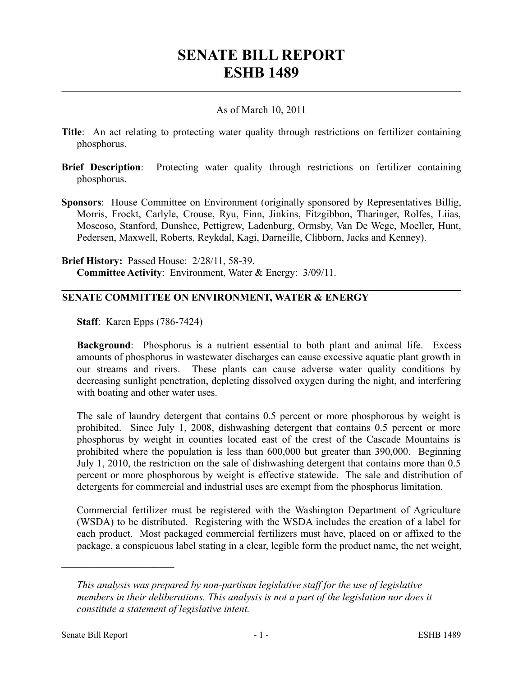# **SENATE BILL REPORT ESHB 1489**

### As of March 10, 2011

- **Title**: An act relating to protecting water quality through restrictions on fertilizer containing phosphorus.
- **Brief Description**: Protecting water quality through restrictions on fertilizer containing phosphorus.
- **Sponsors**: House Committee on Environment (originally sponsored by Representatives Billig, Morris, Frockt, Carlyle, Crouse, Ryu, Finn, Jinkins, Fitzgibbon, Tharinger, Rolfes, Liias, Moscoso, Stanford, Dunshee, Pettigrew, Ladenburg, Ormsby, Van De Wege, Moeller, Hunt, Pedersen, Maxwell, Roberts, Reykdal, Kagi, Darneille, Clibborn, Jacks and Kenney).

**Brief History:** Passed House: 2/28/11, 58-39. **Committee Activity**: Environment, Water & Energy: 3/09/11.

## **SENATE COMMITTEE ON ENVIRONMENT, WATER & ENERGY**

**Staff**: Karen Epps (786-7424)

**Background**: Phosphorus is a nutrient essential to both plant and animal life. Excess amounts of phosphorus in wastewater discharges can cause excessive aquatic plant growth in our streams and rivers. These plants can cause adverse water quality conditions by decreasing sunlight penetration, depleting dissolved oxygen during the night, and interfering with boating and other water uses.

The sale of laundry detergent that contains 0.5 percent or more phosphorous by weight is prohibited. Since July 1, 2008, dishwashing detergent that contains 0.5 percent or more phosphorus by weight in counties located east of the crest of the Cascade Mountains is prohibited where the population is less than 600,000 but greater than 390,000. Beginning July 1, 2010, the restriction on the sale of dishwashing detergent that contains more than 0.5 percent or more phosphorous by weight is effective statewide. The sale and distribution of detergents for commercial and industrial uses are exempt from the phosphorus limitation.

Commercial fertilizer must be registered with the Washington Department of Agriculture (WSDA) to be distributed. Registering with the WSDA includes the creation of a label for each product. Most packaged commercial fertilizers must have, placed on or affixed to the package, a conspicuous label stating in a clear, legible form the product name, the net weight,

––––––––––––––––––––––

*This analysis was prepared by non-partisan legislative staff for the use of legislative members in their deliberations. This analysis is not a part of the legislation nor does it constitute a statement of legislative intent.*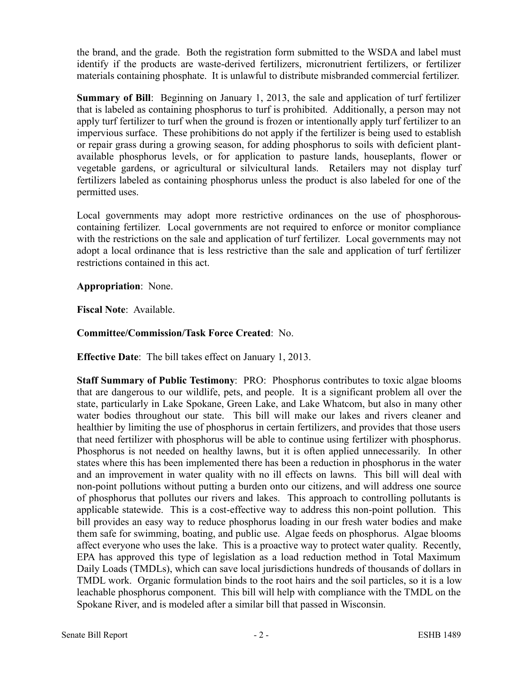the brand, and the grade. Both the registration form submitted to the WSDA and label must identify if the products are waste-derived fertilizers, micronutrient fertilizers, or fertilizer materials containing phosphate. It is unlawful to distribute misbranded commercial fertilizer.

**Summary of Bill**: Beginning on January 1, 2013, the sale and application of turf fertilizer that is labeled as containing phosphorus to turf is prohibited. Additionally, a person may not apply turf fertilizer to turf when the ground is frozen or intentionally apply turf fertilizer to an impervious surface. These prohibitions do not apply if the fertilizer is being used to establish or repair grass during a growing season, for adding phosphorus to soils with deficient plantavailable phosphorus levels, or for application to pasture lands, houseplants, flower or vegetable gardens, or agricultural or silvicultural lands. Retailers may not display turf fertilizers labeled as containing phosphorus unless the product is also labeled for one of the permitted uses.

Local governments may adopt more restrictive ordinances on the use of phosphorouscontaining fertilizer. Local governments are not required to enforce or monitor compliance with the restrictions on the sale and application of turf fertilizer. Local governments may not adopt a local ordinance that is less restrictive than the sale and application of turf fertilizer restrictions contained in this act.

### **Appropriation**: None.

**Fiscal Note**: Available.

## **Committee/Commission/Task Force Created**: No.

**Effective Date**: The bill takes effect on January 1, 2013.

**Staff Summary of Public Testimony**: PRO: Phosphorus contributes to toxic algae blooms that are dangerous to our wildlife, pets, and people. It is a significant problem all over the state, particularly in Lake Spokane, Green Lake, and Lake Whatcom, but also in many other water bodies throughout our state. This bill will make our lakes and rivers cleaner and healthier by limiting the use of phosphorus in certain fertilizers, and provides that those users that need fertilizer with phosphorus will be able to continue using fertilizer with phosphorus. Phosphorus is not needed on healthy lawns, but it is often applied unnecessarily. In other states where this has been implemented there has been a reduction in phosphorus in the water and an improvement in water quality with no ill effects on lawns. This bill will deal with non-point pollutions without putting a burden onto our citizens, and will address one source of phosphorus that pollutes our rivers and lakes. This approach to controlling pollutants is applicable statewide. This is a cost-effective way to address this non-point pollution. This bill provides an easy way to reduce phosphorus loading in our fresh water bodies and make them safe for swimming, boating, and public use. Algae feeds on phosphorus. Algae blooms affect everyone who uses the lake. This is a proactive way to protect water quality. Recently, EPA has approved this type of legislation as a load reduction method in Total Maximum Daily Loads (TMDLs), which can save local jurisdictions hundreds of thousands of dollars in TMDL work. Organic formulation binds to the root hairs and the soil particles, so it is a low leachable phosphorus component. This bill will help with compliance with the TMDL on the Spokane River, and is modeled after a similar bill that passed in Wisconsin.